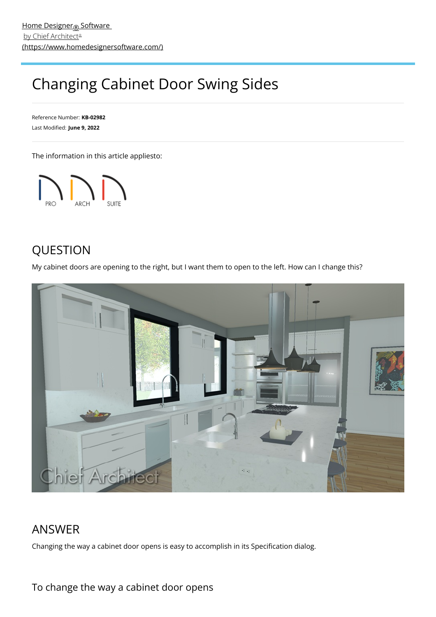## Changing Cabinet Door Swing Sides

Reference Number: **KB-02982** Last Modified: **June 9, 2022**

The information in this article appliesto:



## QUESTION

My cabinet doors are opening to the right, but I want them to open to the left. How can I change this?



## ANSWER

Changing the way a cabinet door opens is easy to accomplish in its Specification dialog.

## To change the way a cabinet door opens